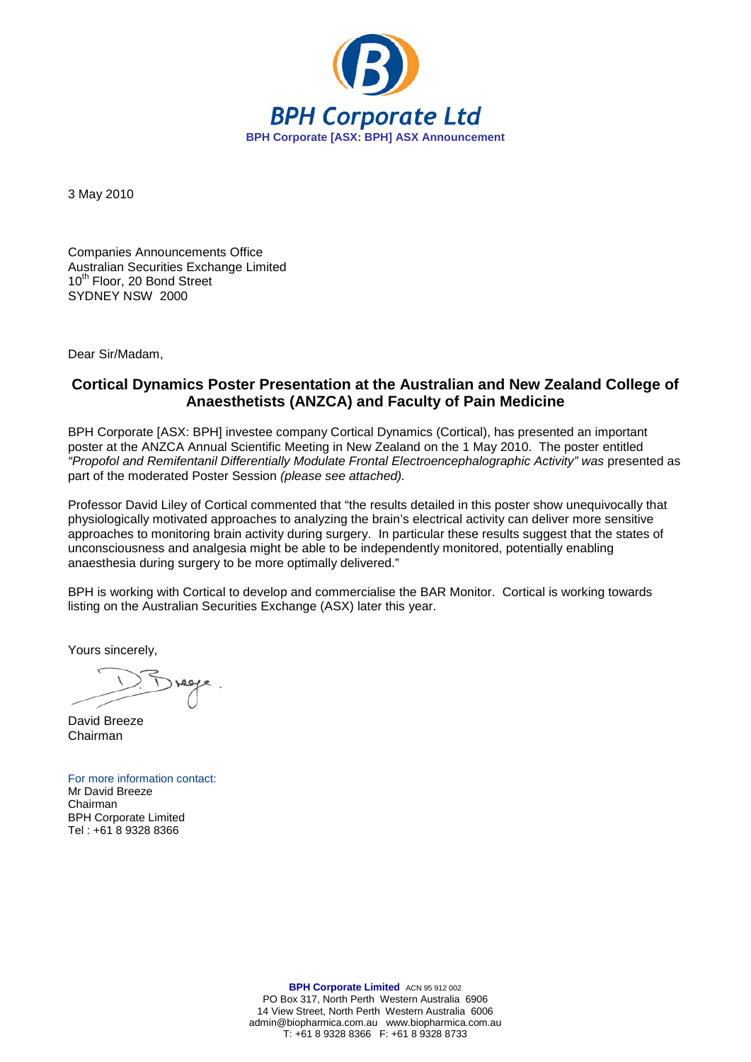

3 May 2010

Companies Announcements Office Australian Securities Exchange Limited 10<sup>th</sup> Floor, 20 Bond Street SYDNEY NSW 2000

Dear Sir/Madam,

## **Cortical Dynamics Poster Presentation at the Australian and New Zealand College of Anaesthetists (ANZCA) and Faculty of Pain Medicine**

BPH Corporate [ASX: BPH] investee company Cortical Dynamics (Cortical), has presented an important poster at the ANZCA Annual Scientific Meeting in New Zealand on the 1 May 2010. The poster entitled *"Propofol and Remifentanil Differentially Modulate Frontal Electroencephalographic Activity" was* presented as part of the moderated Poster Session *(please see attached).*

Professor David Liley of Cortical commented that "the results detailed in this poster show unequivocally that physiologically motivated approaches to analyzing the brain's electrical activity can deliver more sensitive approaches to monitoring brain activity during surgery. In particular these results suggest that the states of unconsciousness and analgesia might be able to be independently monitored, potentially enabling anaesthesia during surgery to be more optimally delivered."

BPH is working with Cortical to develop and commercialise the BAR Monitor. Cortical is working towards listing on the Australian Securities Exchange (ASX) later this year.

Yours sincerely,

David Breeze Chairman

For more information contact: Mr David Breeze Chairman BPH Corporate Limited Tel : +61 8 9328 8366